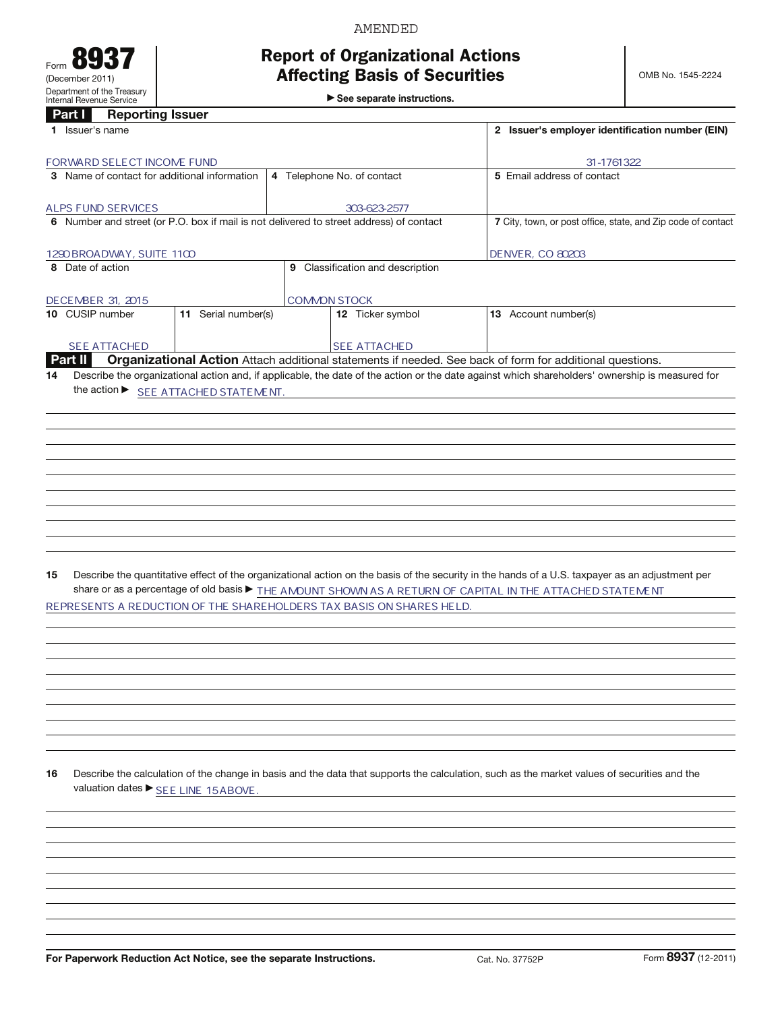## Report of Organizational Actions Affecting Basis of Securities

AMENDED

 $\blacktriangleright$  See separate instructions.

### Part **I** Reporting Issuer

|    | Part I<br><b>Reporting Issuer</b>             |                     |  |                                                                                         |                                                                                                                                                 |
|----|-----------------------------------------------|---------------------|--|-----------------------------------------------------------------------------------------|-------------------------------------------------------------------------------------------------------------------------------------------------|
|    | 1 Issuer's name                               |                     |  | 2 Issuer's employer identification number (EIN)                                         |                                                                                                                                                 |
|    | FORWARD SELECT INCOME FUND                    |                     |  |                                                                                         | 31-1761322                                                                                                                                      |
|    | 3 Name of contact for additional information  |                     |  | 4 Telephone No. of contact                                                              | 5 Email address of contact                                                                                                                      |
|    |                                               |                     |  |                                                                                         |                                                                                                                                                 |
|    | <b>ALPS FUND SERVICES</b>                     |                     |  | 303-623-2577                                                                            |                                                                                                                                                 |
|    |                                               |                     |  | 6 Number and street (or P.O. box if mail is not delivered to street address) of contact | 7 City, town, or post office, state, and Zip code of contact                                                                                    |
|    |                                               |                     |  |                                                                                         |                                                                                                                                                 |
|    | 1290 BROADWAY, SUITE 1100<br>8 Date of action |                     |  | 9 Classification and description                                                        | <b>DENVER, CO 80203</b>                                                                                                                         |
|    |                                               |                     |  |                                                                                         |                                                                                                                                                 |
|    | DECEMBER 31, 2015                             |                     |  | <b>COMMON STOCK</b>                                                                     |                                                                                                                                                 |
|    | 10 CUSIP number                               | 11 Serial number(s) |  | 12 Ticker symbol                                                                        | 13 Account number(s)                                                                                                                            |
|    |                                               |                     |  |                                                                                         |                                                                                                                                                 |
|    | SEE ATTACHED                                  |                     |  | <b>SEE ATTACHED</b>                                                                     |                                                                                                                                                 |
|    | <b>Part II</b>                                |                     |  |                                                                                         | Organizational Action Attach additional statements if needed. See back of form for additional questions.                                        |
| 14 |                                               |                     |  |                                                                                         | Describe the organizational action and, if applicable, the date of the action or the date against which shareholders' ownership is measured for |
|    | the action ▶ SEE ATTACHED STATEMENT.          |                     |  |                                                                                         |                                                                                                                                                 |
|    |                                               |                     |  |                                                                                         |                                                                                                                                                 |
|    |                                               |                     |  |                                                                                         |                                                                                                                                                 |
|    |                                               |                     |  |                                                                                         |                                                                                                                                                 |
|    |                                               |                     |  |                                                                                         |                                                                                                                                                 |
|    |                                               |                     |  |                                                                                         |                                                                                                                                                 |
|    |                                               |                     |  |                                                                                         |                                                                                                                                                 |
|    |                                               |                     |  |                                                                                         |                                                                                                                                                 |
|    |                                               |                     |  |                                                                                         |                                                                                                                                                 |
|    |                                               |                     |  |                                                                                         |                                                                                                                                                 |
|    |                                               |                     |  |                                                                                         |                                                                                                                                                 |
| 15 |                                               |                     |  |                                                                                         | Describe the quantitative effect of the organizational action on the basis of the security in the hands of a U.S. taxpayer as an adjustment per |
|    |                                               |                     |  |                                                                                         | share or as a percentage of old basis > THE AMOUNT SHOWN AS A RETURN OF CAPITAL IN THE ATTACHED STATEMENT                                       |
|    |                                               |                     |  | REPRESENTS A REDUCTION OF THE SHAREHOLDERS TAX BASIS ON SHARES HELD.                    |                                                                                                                                                 |
|    |                                               |                     |  |                                                                                         |                                                                                                                                                 |
|    |                                               |                     |  |                                                                                         |                                                                                                                                                 |
|    |                                               |                     |  |                                                                                         |                                                                                                                                                 |
|    |                                               |                     |  |                                                                                         |                                                                                                                                                 |
|    |                                               |                     |  |                                                                                         |                                                                                                                                                 |
|    |                                               |                     |  |                                                                                         |                                                                                                                                                 |
|    |                                               |                     |  |                                                                                         |                                                                                                                                                 |
|    |                                               |                     |  |                                                                                         |                                                                                                                                                 |
|    |                                               |                     |  |                                                                                         |                                                                                                                                                 |
| 16 |                                               |                     |  |                                                                                         | Describe the calculation of the change in basis and the data that supports the calculation, such as the market values of securities and the     |
|    | valuation dates ▶ SEE LINE 15ABOVE.           |                     |  |                                                                                         |                                                                                                                                                 |
|    |                                               |                     |  |                                                                                         |                                                                                                                                                 |
|    |                                               |                     |  |                                                                                         |                                                                                                                                                 |
|    |                                               |                     |  |                                                                                         |                                                                                                                                                 |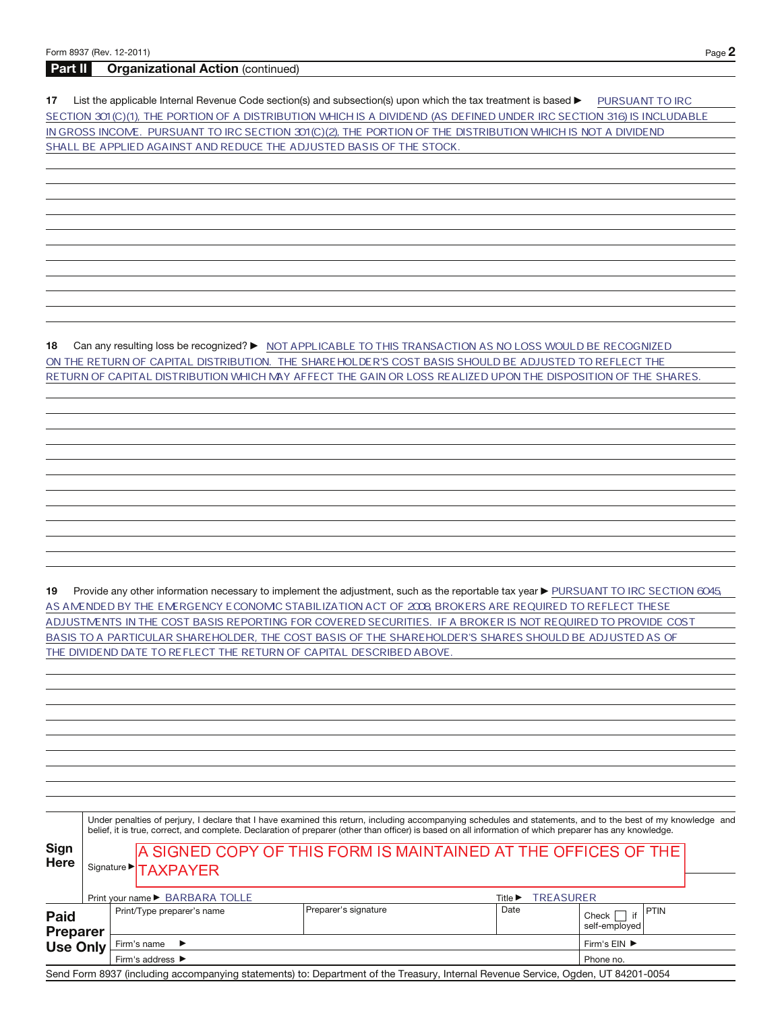### **Part II Organizational Action** (continued)

17 List the applicable Internal Revenue Code section(s) and subsection(s) upon which the tax treatment is based **DEP TO ANT TO IRC** SECTION 301(C)(1), THE PORTION OF A DISTRIBUTION WHICH IS A DIVIDEND (AS DEFINED UNDER IRC SECTION 316) IS INCLUDABLE IN GROSS INCOME. PURSUANT TO IRC SECTION 301 (C)(2), THE PORTION OF THE DISTRIBUTION WHICH IS NOT A DIVIDEND SHALL BE APPLIED AGAINST AND REDUCE THE ADJUSTED BASIS OF THE STOCK.

**18** Can any resulting loss be recognized? ▶ MOT APPLICABLE TO THIS TRANSACTION AS NO LOSS WOULD BE RECOGNIZED ON THE RETURN OF CAPITAL DISTRIBUTION. THE SHAREHOLDER'S COST BASIS SHOULD BE ADJUSTED TO REFLECT THE RETURN OF CAPITAL DISTRIBUTION WHICH MAY AFFECT THE GAIN OR LOSS REALIZED UPON THE DISPOSITION OF THE SHARES.

19 Provide any other information necessary to implement the adjustment, such as the reportable tax year ▶ PURSUANT TO IRC SECTION 6045 AS AMENDED BY THE EMERGENCY ECONOMIC STABILIZATION ACT OF 2008 BROKERS ARE REQUIRED TO REFLECT THESE ADJUSTMENTS IN THE COST BASIS REPORTING FOR COVERED SECURITIES. IF A BROKER IS NOT REQUIRED TO PROVIDE COST BASIS TO A PARTICULAR SHAREHOLDER, THE COST BASIS OF THE SHAREHOLDER'S SHARES SHOULD BE ADJUSTED AS OF THE DIVIDEND DATE TO REFLECT THE RETURN OF CAPITAL DESCRIBED ABOVE.

|                                    |  |                                      | Under penalties of perjury, I declare that I have examined this return, including accompanying schedules and statements, and to the best of my knowledge and<br>belief, it is true, correct, and complete. Declaration of preparer (other than officer) is based on all information of which preparer has any knowledge. |                                                 |                                |             |  |  |
|------------------------------------|--|--------------------------------------|--------------------------------------------------------------------------------------------------------------------------------------------------------------------------------------------------------------------------------------------------------------------------------------------------------------------------|-------------------------------------------------|--------------------------------|-------------|--|--|
| Sign<br><b>Here</b>                |  | Signature <sup>&gt;</sup> TAXPAYER   | A SIGNED COPY OF THIS FORM IS MAINTAINED AT THE OFFICES OF THE                                                                                                                                                                                                                                                           |                                                 |                                |             |  |  |
|                                    |  | Print your name ▶ BARBARA TOLLE      |                                                                                                                                                                                                                                                                                                                          | <b>TREASURER</b><br>Title $\blacktriangleright$ |                                |             |  |  |
| Paid                               |  | Print/Type preparer's name           | Preparer's signature                                                                                                                                                                                                                                                                                                     | Date                                            | if<br>Check  <br>self-emploved | <b>PTIN</b> |  |  |
| <b>Preparer</b><br><b>Use Only</b> |  | Firm's name $\blacktriangleright$    |                                                                                                                                                                                                                                                                                                                          |                                                 |                                |             |  |  |
|                                    |  | Firm's address $\blacktriangleright$ |                                                                                                                                                                                                                                                                                                                          | Phone no.                                       |                                |             |  |  |

Send Form 8937 (including accompanying statements) to: Department of the Treasury, Internal Revenue Service, Ogden, UT 84201-0054